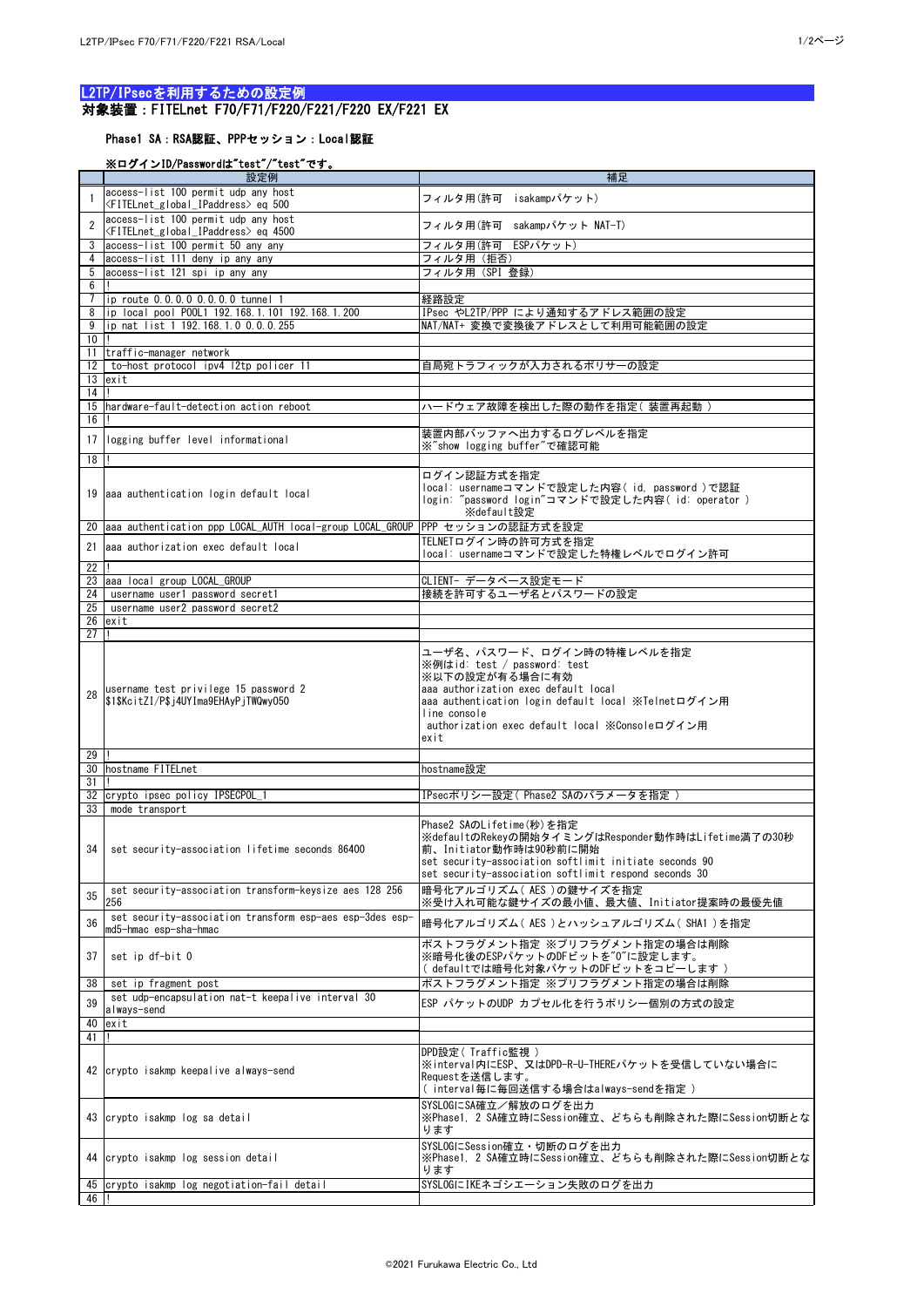## L2TP/IPsecを利用するための設定例 対象装置:FITELnet F70/F71/F220/F221/F220 EX/F221 EX

## Phase1 SA:RSA認証、PPPセッション:Local認証

## ※ログインID/Passwordは"test"/"test"です。

|                 | 設定例                                                                                                   | 補足                                                                                                                                                                                                                                                   |
|-----------------|-------------------------------------------------------------------------------------------------------|------------------------------------------------------------------------------------------------------------------------------------------------------------------------------------------------------------------------------------------------------|
|                 | access-list 100 permit udp any host                                                                   | フィルタ用(許可 isakampパケット)                                                                                                                                                                                                                                |
|                 | <fitelnet_global_ipaddress>eq 500</fitelnet_global_ipaddress>                                         |                                                                                                                                                                                                                                                      |
| $\mathcal{D}$   | access-list 100 permit udp any host<br><fitelnet_global_ipaddress>eq 4500</fitelnet_global_ipaddress> | フィルタ用(許可 sakampパケット NAT-T)                                                                                                                                                                                                                           |
| 3               | access-list 100 permit 50 any any                                                                     | フィルタ用(許可 ESPパケット)                                                                                                                                                                                                                                    |
|                 | access-list 111 deny ip any any                                                                       | フィルタ用 (拒否)                                                                                                                                                                                                                                           |
| 5               | access-list 121 spi ip any any                                                                        | フィルタ用(SPI 登録)                                                                                                                                                                                                                                        |
| 6               |                                                                                                       |                                                                                                                                                                                                                                                      |
|                 | ip route 0.0.0.0 0.0.0.0 tunnel 1                                                                     | 経路設定                                                                                                                                                                                                                                                 |
| 8               | ip local pool P00L1 192.168.1.101 192.168.1.200                                                       | IPsec やL2TP/PPP により通知するアドレス範囲の設定                                                                                                                                                                                                                     |
| 9               | ip nat list 1 192.168.1.0 0.0.0.255                                                                   | NAT/NAT+ 変換で変換後アドレスとして利用可能範囲の設定                                                                                                                                                                                                                      |
| 10<br>11        | traffic-manager network                                                                               |                                                                                                                                                                                                                                                      |
| 12 <sup>2</sup> | to-host protocol ipv4 12tp policer 11                                                                 | 自局宛トラフィックが入力されるポリサーの設定                                                                                                                                                                                                                               |
| 13              | exit                                                                                                  |                                                                                                                                                                                                                                                      |
| 14              |                                                                                                       |                                                                                                                                                                                                                                                      |
|                 | hardware-fault-detection action reboot                                                                | ハードウェア故障を検出した際の動作を指定(装置再起動)                                                                                                                                                                                                                          |
| 16              |                                                                                                       |                                                                                                                                                                                                                                                      |
|                 | 17   logging buffer level informational                                                               | 装置内部バッファへ出力するログレベルを指定                                                                                                                                                                                                                                |
|                 |                                                                                                       | ※"show logging buffer"で確認可能                                                                                                                                                                                                                          |
| 18              |                                                                                                       |                                                                                                                                                                                                                                                      |
|                 | 19 aaa authentication login default local                                                             | ログイン認証方式を指定<br>local: usernameコマンドで設定した内容(id, password)で認証<br>login: "password login"コマンドで設定した内容(id: operator )<br>※default設定                                                                                                                        |
| 20              | aaa authentication ppp LOCAL_AUTH local-group LOCAL_GROUP                                             | PPP セッションの認証方式を設定                                                                                                                                                                                                                                    |
| 21              | aaa authorization exec default local                                                                  | TELNETログイン時の許可方式を指定                                                                                                                                                                                                                                  |
|                 |                                                                                                       | local: usernameコマンドで設定した特権レベルでログイン許可                                                                                                                                                                                                                 |
| 22<br>23        | aaa local group LOCAL_GROUP                                                                           | CLIENT- データベース設定モード                                                                                                                                                                                                                                  |
| 24              | username user1 password secret1                                                                       | 接続を許可するユーザ名とパスワードの設定                                                                                                                                                                                                                                 |
| 25              | username user2 password secret2                                                                       |                                                                                                                                                                                                                                                      |
| 26              | exit                                                                                                  |                                                                                                                                                                                                                                                      |
| 27              |                                                                                                       |                                                                                                                                                                                                                                                      |
| 28              | username test privilege 15 password 2<br>\$1\$KcitZI/P\$j4UYIma9EHAyPjTWQwy050                        | ユーザ名、パスワード、ログイン時の特権レベルを指定<br>※例はid: test / password: test<br>※以下の設定が有る場合に有効<br>aaa authorization exec default local<br>aaa authentication login default local ※Telnetログイン用<br>line console<br>authorization exec default local ※Consoleログイン用<br>exit |
| 29              |                                                                                                       |                                                                                                                                                                                                                                                      |
| 30<br>31        | hostname FITELnet                                                                                     | hostname設定                                                                                                                                                                                                                                           |
| 32              | crypto ipsec policy IPSECPOL_1                                                                        | IPsecポリシー設定(Phase2 SAのパラメータを指定)                                                                                                                                                                                                                      |
| 33              | mode transport                                                                                        |                                                                                                                                                                                                                                                      |
| 34              | set security-association lifetime seconds 86400                                                       | Phase2 SAのLifetime(秒)を指定<br>※defaultのRekeyの開始タイミングはResponder動作時はLifetime満了の30秒<br>前、Initiator動作時は90秒前に開始<br>set security-association softlimit initiate seconds 90<br>set security-association softlimit respond seconds 30                          |
| 35              | set security-association transform-keysize aes 128 256<br>256                                         | 暗号化アルゴリズム(AES)の鍵サイズを指定<br>※受け入れ可能な鍵サイズの最小値、最大値、Initiator提案時の最優先値                                                                                                                                                                                     |
| 36              | set security-association transform esp-aes esp-3des esp-<br>md5-hmac esp-sha-hmac                     | 暗号化アルゴリズム( AES )とハッシュアルゴリズム( SHA1 )を指定                                                                                                                                                                                                               |
| 37              | set ip df-bit 0                                                                                       | ポストフラグメント指定 ※プリフラグメント指定の場合は削除<br>※暗号化後のESPパケットのDFビットを"0"に設定します。<br>( defaultでは暗号化対象パケットのDFビットをコピーします )                                                                                                                                               |
| 38              | set ip fragment post                                                                                  | ポストフラグメント指定 ※プリフラグメント指定の場合は削除                                                                                                                                                                                                                        |
| 39              | set udp-encapsulation nat-t keepalive interval 30                                                     | ESP パケットのUDP カプセル化を行うポリシー個別の方式の設定                                                                                                                                                                                                                    |
|                 | always-send                                                                                           |                                                                                                                                                                                                                                                      |
| 40<br>41        | exit                                                                                                  |                                                                                                                                                                                                                                                      |
|                 |                                                                                                       | DPD設定( Traffic監視 )                                                                                                                                                                                                                                   |
|                 | 42 crypto isakmp keepalive always-send                                                                | ※interval内にESP、又はDPD-R-U-THEREパケットを受信していない場合に<br>Requestを送信します。<br>(interval毎に毎回送信する場合はalways-sendを指定)                                                                                                                                               |
|                 | 43 crypto isakmp log sa detail                                                                        | SYSLOGにSA確立/解放のログを出力<br>※Phase1, 2 SA確立時にSession確立、どちらも削除された際にSession切断とな<br>ります                                                                                                                                                                     |
|                 | 44 crypto isakmp log session detail                                                                   | SYSLOGにSession確立・切断のログを出力<br> ※Phase1, 2 SA確立時にSession確立、どちらも削除された際にSession切断とな<br>ります                                                                                                                                                               |
| 46              | 45 crypto isakmp log negotiation-fail detail                                                          | SYSLOGにIKEネゴシエーション失敗のログを出力                                                                                                                                                                                                                           |